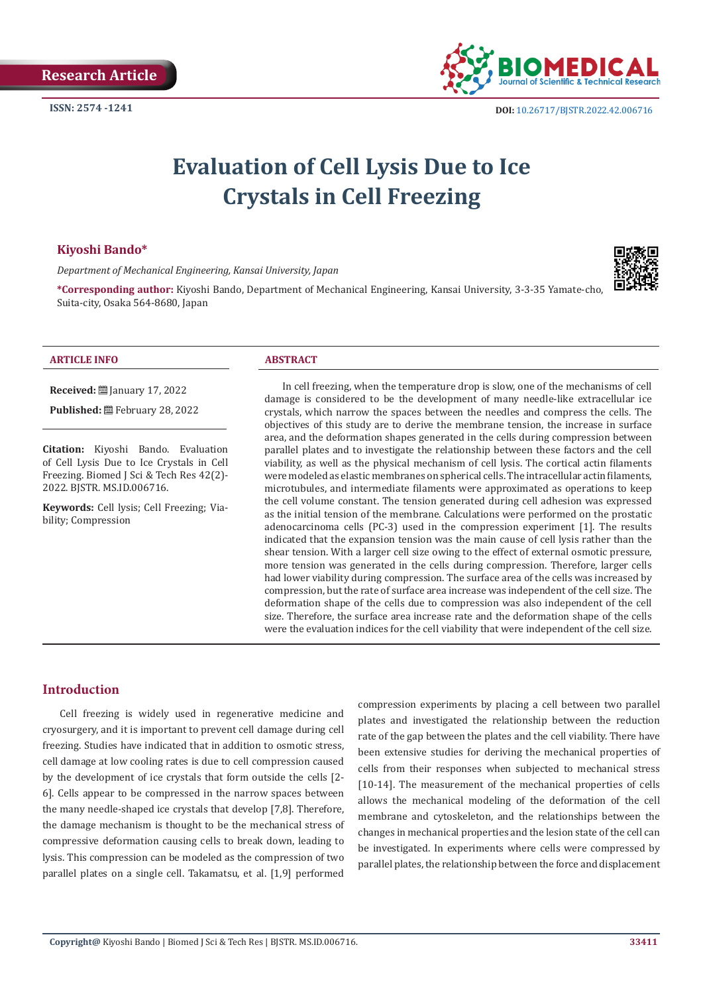

# **Evaluation of Cell Lysis Due to Ice Crystals in Cell Freezing**

#### **Kiyoshi Bando\***

*Department of Mechanical Engineering, Kansai University, Japan* 



**\*Corresponding author:** Kiyoshi Bando, Department of Mechanical Engineering, Kansai University, 3-3-35 Yamate-cho, Suita-city, Osaka 564-8680, Japan

#### **ARTICLE INFO ABSTRACT**

**Received:** [2011] January 17, 2022 Published: **■**February 28, 2022

**Citation:** Kiyoshi Bando. Evaluation of Cell Lysis Due to Ice Crystals in Cell Freezing. Biomed J Sci & Tech Res 42(2)- 2022. BJSTR. MS.ID.006716.

**Keywords:** Cell lysis; Cell Freezing; Viability; Compression

In cell freezing, when the temperature drop is slow, one of the mechanisms of cell damage is considered to be the development of many needle-like extracellular ice crystals, which narrow the spaces between the needles and compress the cells. The objectives of this study are to derive the membrane tension, the increase in surface area, and the deformation shapes generated in the cells during compression between parallel plates and to investigate the relationship between these factors and the cell viability, as well as the physical mechanism of cell lysis. The cortical actin filaments were modeled as elastic membranes on spherical cells. The intracellular actin filaments, microtubules, and intermediate filaments were approximated as operations to keep the cell volume constant. The tension generated during cell adhesion was expressed as the initial tension of the membrane. Calculations were performed on the prostatic adenocarcinoma cells (PC-3) used in the compression experiment [1]. The results indicated that the expansion tension was the main cause of cell lysis rather than the shear tension. With a larger cell size owing to the effect of external osmotic pressure, more tension was generated in the cells during compression. Therefore, larger cells had lower viability during compression. The surface area of the cells was increased by compression, but the rate of surface area increase was independent of the cell size. The deformation shape of the cells due to compression was also independent of the cell size. Therefore, the surface area increase rate and the deformation shape of the cells were the evaluation indices for the cell viability that were independent of the cell size.

#### **Introduction**

Cell freezing is widely used in regenerative medicine and cryosurgery, and it is important to prevent cell damage during cell freezing. Studies have indicated that in addition to osmotic stress, cell damage at low cooling rates is due to cell compression caused by the development of ice crystals that form outside the cells [2- 6]. Cells appear to be compressed in the narrow spaces between the many needle-shaped ice crystals that develop [7,8]. Therefore, the damage mechanism is thought to be the mechanical stress of compressive deformation causing cells to break down, leading to lysis. This compression can be modeled as the compression of two parallel plates on a single cell. Takamatsu, et al. [1,9] performed

compression experiments by placing a cell between two parallel plates and investigated the relationship between the reduction rate of the gap between the plates and the cell viability. There have been extensive studies for deriving the mechanical properties of cells from their responses when subjected to mechanical stress [10-14]. The measurement of the mechanical properties of cells allows the mechanical modeling of the deformation of the cell membrane and cytoskeleton, and the relationships between the changes in mechanical properties and the lesion state of the cell can be investigated. In experiments where cells were compressed by parallel plates, the relationship between the force and displacement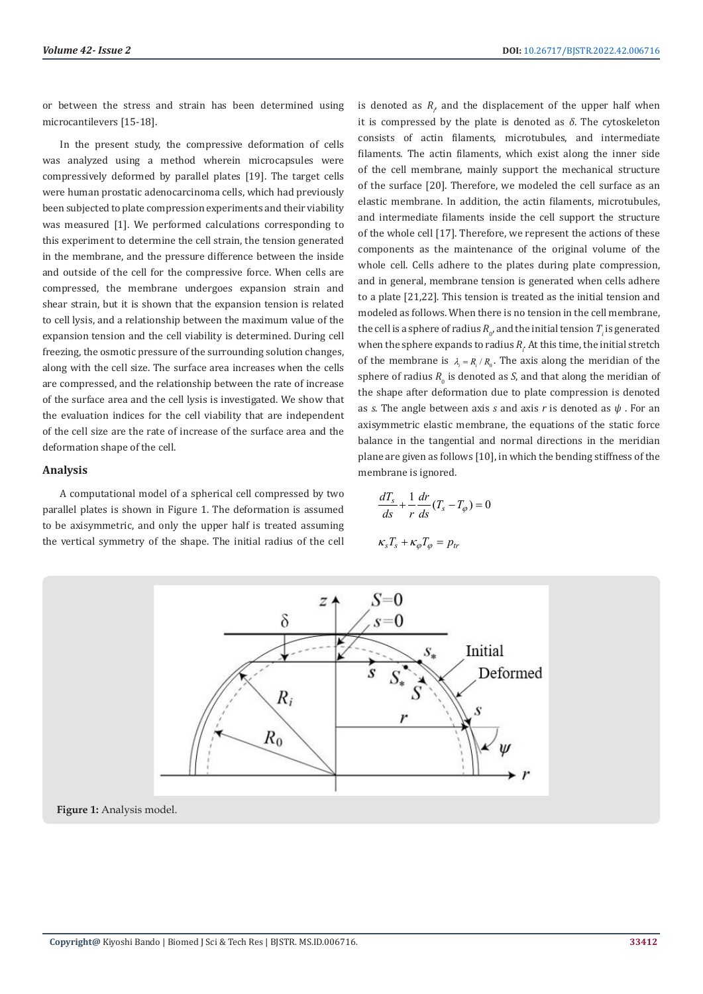or between the stress and strain has been determined using microcantilevers [15-18].

In the present study, the compressive deformation of cells was analyzed using a method wherein microcapsules were compressively deformed by parallel plates [19]. The target cells were human prostatic adenocarcinoma cells, which had previously been subjected to plate compression experiments and their viability was measured [1]. We performed calculations corresponding to this experiment to determine the cell strain, the tension generated in the membrane, and the pressure difference between the inside and outside of the cell for the compressive force. When cells are compressed, the membrane undergoes expansion strain and shear strain, but it is shown that the expansion tension is related to cell lysis, and a relationship between the maximum value of the expansion tension and the cell viability is determined. During cell freezing, the osmotic pressure of the surrounding solution changes, along with the cell size. The surface area increases when the cells are compressed, and the relationship between the rate of increase of the surface area and the cell lysis is investigated. We show that the evaluation indices for the cell viability that are independent of the cell size are the rate of increase of the surface area and the deformation shape of the cell.

#### **Analysis**

A computational model of a spherical cell compressed by two parallel plates is shown in Figure 1. The deformation is assumed to be axisymmetric, and only the upper half is treated assuming the vertical symmetry of the shape. The initial radius of the cell

is denoted as  $R$ <sub> $\rho$ </sub> and the displacement of the upper half when it is compressed by the plate is denoted as *δ*. The cytoskeleton consists of actin filaments, microtubules, and intermediate filaments. The actin filaments, which exist along the inner side of the cell membrane, mainly support the mechanical structure of the surface [20]. Therefore, we modeled the cell surface as an elastic membrane. In addition, the actin filaments, microtubules, and intermediate filaments inside the cell support the structure of the whole cell [17]. Therefore, we represent the actions of these components as the maintenance of the original volume of the whole cell. Cells adhere to the plates during plate compression, and in general, membrane tension is generated when cells adhere to a plate [21,22]. This tension is treated as the initial tension and modeled as follows. When there is no tension in the cell membrane, the cell is a sphere of radius  $R_{\scriptscriptstyle 0}$ , and the initial tension  $T_{\scriptscriptstyle \hat i}$  is generated when the sphere expands to radius  $R_i$ . At this time, the initial stretch of the membrane is  $\lambda_i = R_i / R_0$ . The axis along the meridian of the sphere of radius  $R_0$  is denoted as *S*, and that along the meridian of the shape after deformation due to plate compression is denoted as *s*. The angle between axis *s* and axis *r* is denoted as *ψ* . For an axisymmetric elastic membrane, the equations of the static force balance in the tangential and normal directions in the meridian plane are given as follows [10], in which the bending stiffness of the membrane is ignored.

$$
\frac{dT_s}{ds} + \frac{1}{r} \frac{dr}{ds} (T_s - T_\varphi) = 0
$$
  

$$
\kappa_s T_s + \kappa_\varphi T_\varphi = p_{tr}
$$

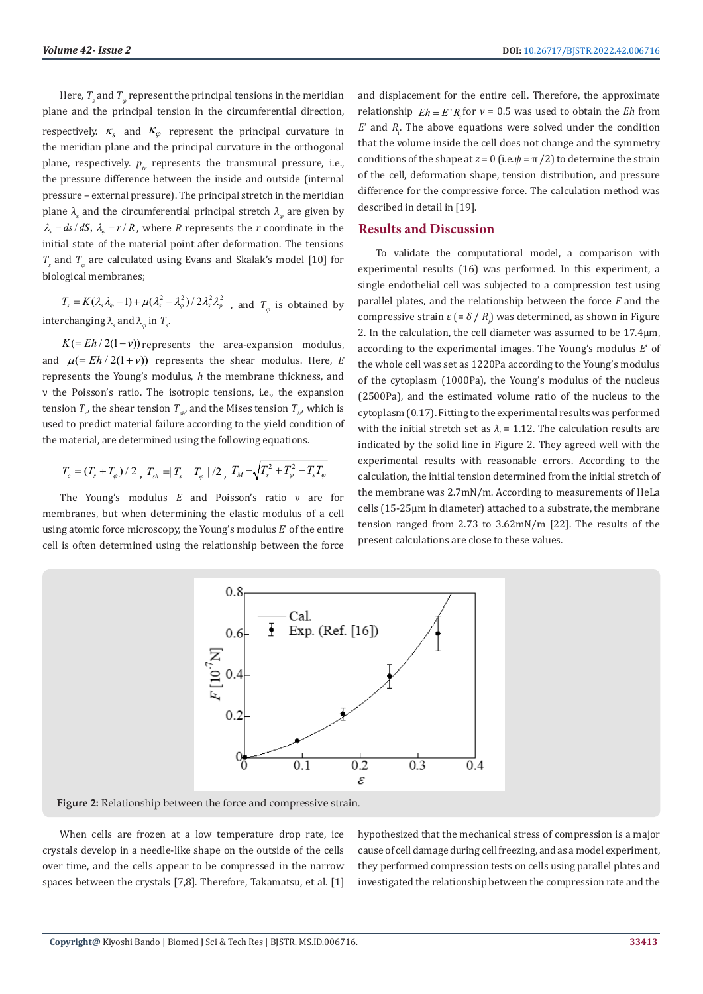Here,  $T_s$  and  $T_\varphi$  represent the principal tensions in the meridian plane and the principal tension in the circumferential direction, respectively.  $\kappa_s$  and  $\kappa_\varphi$  represent the principal curvature in the meridian plane and the principal curvature in the orthogonal plane, respectively.  $p_{tr}$  represents the transmural pressure, i.e., the pressure difference between the inside and outside (internal pressure – external pressure). The principal stretch in the meridian plane *λ*<sub>s</sub> and the circumferential principal stretch *λ*<sub>φ</sub> are given by  $\lambda_s = ds / dS$ ,  $\lambda_\varphi = r / R$ , where *R* represents the *r* coordinate in the initial state of the material point after deformation. The tensions *Ts* and *Tφ* are calculated using Evans and Skalak's model [10] for biological membranes;

 $T_s = K(\lambda_s \lambda_\varphi - 1) + \mu(\lambda_s^2 - \lambda_\varphi^2)/2\lambda_s^2 \lambda_\varphi^2$ , and  $T_\varphi$  is obtained by interchanging  $\lambda_s$  and  $\lambda_\varphi$  in  $T_s$ .

 $K (= Eh / 2(1-v))$  represents the area-expansion modulus, and  $\mu (= Eh / 2(1 + v))$  represents the shear modulus. Here, *E* represents the Young's modulus, *h* the membrane thickness, and ν the Poisson's ratio. The isotropic tensions, i.e., the expansion tension  $T_e$ , the shear tension  $T_{sh}$ , and the Mises tension  $T_{M}$ , which is used to predict material failure according to the yield condition of the material, are determined using the following equations.

$$
T_e = (T_s + T_\varphi)/2 \, , \, T_{sh} = |T_s - T_\varphi|/2 \, , \, T_M = \sqrt{T_s^2 + T_\varphi^2 - T_s T_\varphi}
$$

The Young's modulus *E* and Poisson's ratio ν are for membranes, but when determining the elastic modulus of a cell using atomic force microscopy, the Young's modulus *E*' of the entire cell is often determined using the relationship between the force and displacement for the entire cell. Therefore, the approximate relationship  $E h = E' R_i$  for  $v = 0.5$  was used to obtain the *Eh* from  $E'$  and  $R_1$ . The above equations were solved under the condition that the volume inside the cell does not change and the symmetry conditions of the shape at  $z = 0$  (i.e. $\psi = \pi/2$ ) to determine the strain of the cell, deformation shape, tension distribution, and pressure difference for the compressive force. The calculation method was described in detail in [19].

#### **Results and Discussion**

To validate the computational model, a comparison with experimental results (16) was performed. In this experiment, a single endothelial cell was subjected to a compression test using parallel plates, and the relationship between the force *F* and the compressive strain *ε* (= *δ* / *Ri* ) was determined, as shown in Figure 2. In the calculation, the cell diameter was assumed to be 17.4µm, according to the experimental images. The Young's modulus *E*' of the whole cell was set as 1220Pa according to the Young's modulus of the cytoplasm (1000Pa), the Young's modulus of the nucleus (2500Pa), and the estimated volume ratio of the nucleus to the cytoplasm (0.17). Fitting to the experimental results was performed with the initial stretch set as  $\lambda_i = 1.12$ . The calculation results are indicated by the solid line in Figure 2. They agreed well with the experimental results with reasonable errors. According to the calculation, the initial tension determined from the initial stretch of the membrane was 2.7mN/m. According to measurements of HeLa cells (15-25µm in diameter) attached to a substrate, the membrane tension ranged from 2.73 to 3.62mN/m [22]. The results of the present calculations are close to these values.



**Figure 2:** Relationship between the force and compressive strain.

When cells are frozen at a low temperature drop rate, ice crystals develop in a needle-like shape on the outside of the cells over time, and the cells appear to be compressed in the narrow spaces between the crystals [7,8]. Therefore, Takamatsu, et al. [1] hypothesized that the mechanical stress of compression is a major cause of cell damage during cell freezing, and as a model experiment, they performed compression tests on cells using parallel plates and investigated the relationship between the compression rate and the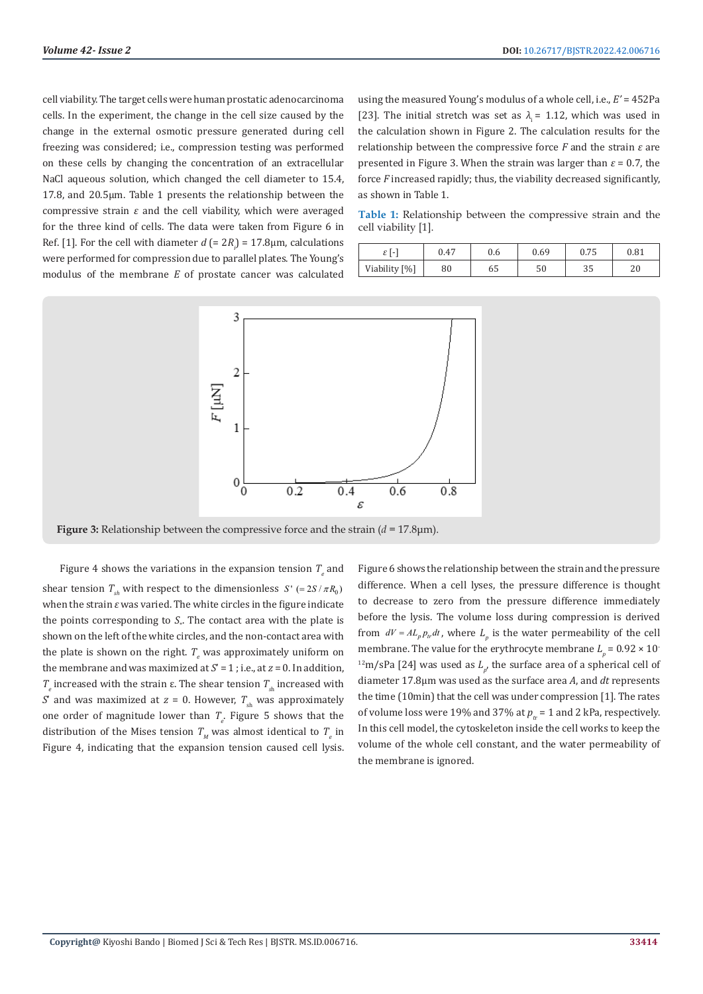cell viability. The target cells were human prostatic adenocarcinoma cells. In the experiment, the change in the cell size caused by the change in the external osmotic pressure generated during cell freezing was considered; i.e., compression testing was performed on these cells by changing the concentration of an extracellular NaCl aqueous solution, which changed the cell diameter to 15.4, 17.8, and 20.5µm. Table 1 presents the relationship between the compressive strain *ε* and the cell viability, which were averaged for the three kind of cells. The data were taken from Figure 6 in Ref. [1]. For the cell with diameter  $d = 2R_i = 17.8 \mu m$ , calculations were performed for compression due to parallel plates. The Young's modulus of the membrane *E* of prostate cancer was calculated

using the measured Young's modulus of a whole cell, i.e., *E'* = 452Pa [23]. The initial stretch was set as  $\lambda = 1.12$ , which was used in the calculation shown in Figure 2. The calculation results for the relationship between the compressive force *F* and the strain *ε* are presented in Figure 3. When the strain was larger than  $\varepsilon = 0.7$ , the force *F* increased rapidly; thus, the viability decreased significantly, as shown in Table 1.

**Table 1:** Relationship between the compressive strain and the cell viability [1].

| $\epsilon$<br>c | 0.47 | 0.6 | 0.69 | 0.75<br>ບ. / J | $_{0.81}$ |
|-----------------|------|-----|------|----------------|-----------|
| Viability [%]   | 80   | 65  | 50   | ≘<br>აა        | ∠∪        |



**Figure 3:** Relationship between the compressive force and the strain (*d* = 17.8μm).

Figure 4 shows the variations in the expansion tension  $T_e$  and shear tension  $T_a$  with respect to the dimensionless  $S' (= 2S / \pi R_0)$ when the strain *ε* was varied. The white circles in the figure indicate the points corresponding to  $S$ . The contact area with the plate is shown on the left of the white circles, and the non-contact area with the plate is shown on the right.  $T_e$  was approximately uniform on the membrane and was maximized at  $S' = 1$ ; i.e., at  $z = 0$ . In addition,  $T_{\scriptscriptstyle e}$  increased with the strain ε. The shear tension  $T_{\scriptscriptstyle \rm sh}$  increased with *S*' and was maximized at  $z = 0$ . However,  $T_{sh}$  was approximately one order of magnitude lower than  $T_e$ . Figure 5 shows that the distribution of the Mises tension  $T_{M}$  was almost identical to  $T_{e}$  in Figure 4, indicating that the expansion tension caused cell lysis.

Figure 6 shows the relationship between the strain and the pressure difference. When a cell lyses, the pressure difference is thought to decrease to zero from the pressure difference immediately before the lysis. The volume loss during compression is derived from  $dV = AL_p p_w dt$ , where  $L_p$  is the water permeability of the cell membrane. The value for the erythrocyte membrane  $L_p = 0.92 \times 10^{-7}$ <sup>12</sup>m/sPa [24] was used as  $L_{p'}$ , the surface area of a spherical cell of diameter 17.8µm was used as the surface area *A*, and *dt* represents the time (10min) that the cell was under compression [1]. The rates of volume loss were 19% and 37% at  $p_{tr} = 1$  and 2 kPa, respectively. In this cell model, the cytoskeleton inside the cell works to keep the volume of the whole cell constant, and the water permeability of the membrane is ignored.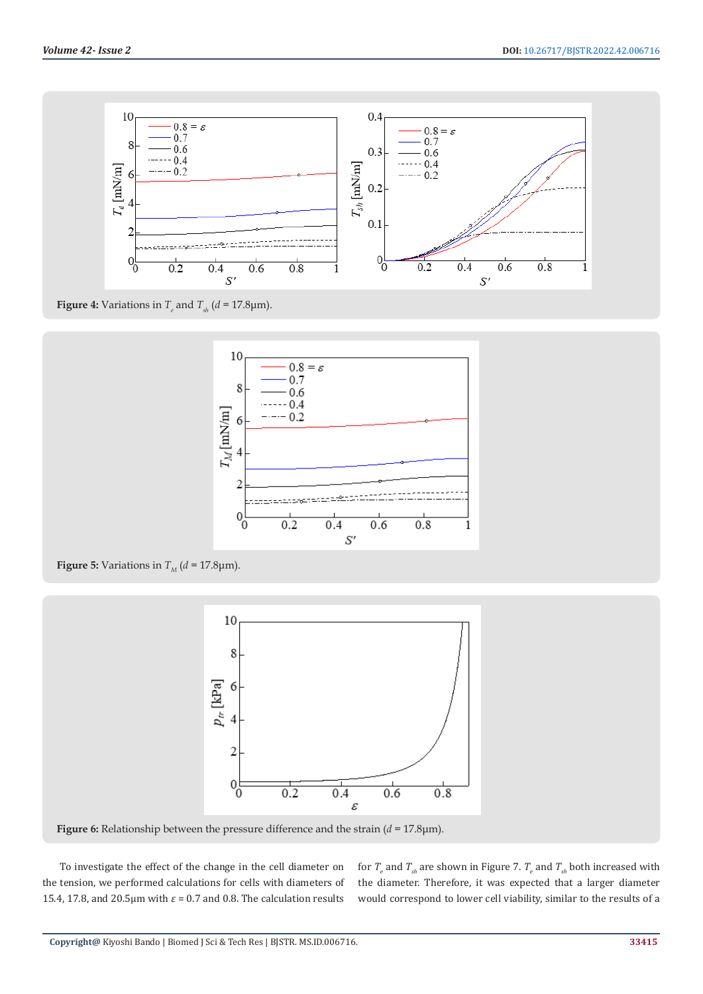

**Figure 4:** Variations in  $T_e$  and  $T_{sh}$  ( $d = 17.8 \mu m$ ).



**Figure 5:** Variations in  $T_M$  ( $d = 17.8 \text{µm}$ ).



**Figure 6:** Relationship between the pressure difference and the strain (*d* = 17.8μm).

To investigate the effect of the change in the cell diameter on the tension, we performed calculations for cells with diameters of 15.4, 17.8, and 20.5 $\mu$ m with  $\varepsilon$  = 0.7 and 0.8. The calculation results

for  $T_e$  and  $T_{sh}$  are shown in Figure 7.  $T_e$  and  $T_{sh}$  both increased with the diameter. Therefore, it was expected that a larger diameter would correspond to lower cell viability, similar to the results of a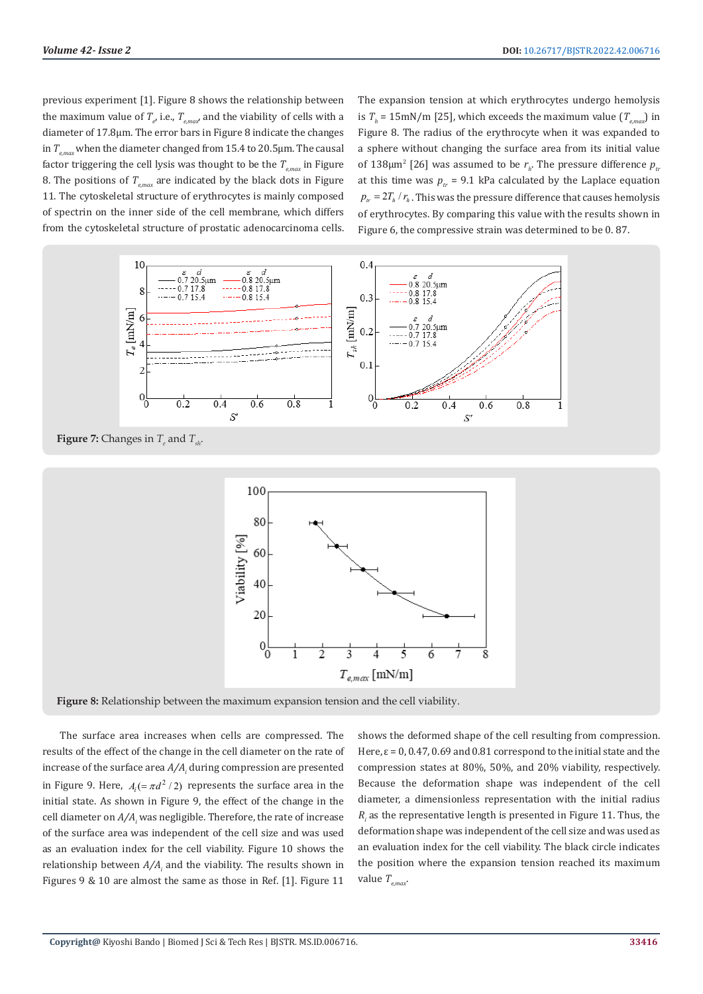previous experiment [1]. Figure 8 shows the relationship between the maximum value of  $T_{e}$ , i.e.,  $T_{e, max}$ , and the viability of cells with a diameter of 17.8µm. The error bars in Figure 8 indicate the changes in  $T_{\text{grav}}$  when the diameter changed from 15.4 to 20.5 $\mu$ m. The causal factor triggering the cell lysis was thought to be the  $T_{e, max}$  in Figure 8. The positions of  $T_{\text{grav}}$  are indicated by the black dots in Figure 11. The cytoskeletal structure of erythrocytes is mainly composed of spectrin on the inner side of the cell membrane, which differs from the cytoskeletal structure of prostatic adenocarcinoma cells.

The expansion tension at which erythrocytes undergo hemolysis is  $T_h$  = 15mN/m [25], which exceeds the maximum value ( $T_{e, max}$ ) in Figure 8. The radius of the erythrocyte when it was expanded to a sphere without changing the surface area from its initial value of 138 $\mu$ m<sup>2</sup> [26] was assumed to be  $r_h$ . The pressure difference  $p_h$ at this time was  $p_r = 9.1$  kPa calculated by the Laplace equation  $p_{\mu} = 2 T_h / r_h$ . This was the pressure difference that causes hemolysis of erythrocytes. By comparing this value with the results shown in Figure 6, the compressive strain was determined to be 0. 87.



**Figure 7:** Changes in  $T_e$  and  $T_{sh}$ .



**Figure 8:** Relationship between the maximum expansion tension and the cell viability.

The surface area increases when cells are compressed. The results of the effect of the change in the cell diameter on the rate of increase of the surface area  $A/A$ <sub>*i*</sub> during compression are presented in Figure 9. Here,  $A_i (= \pi d^2 / 2)$  represents the surface area in the initial state. As shown in Figure 9, the effect of the change in the cell diameter on  $A/A<sub>i</sub>$  was negligible. Therefore, the rate of increase of the surface area was independent of the cell size and was used as an evaluation index for the cell viability. Figure 10 shows the relationship between  $A/A$ , and the viability. The results shown in Figures 9 & 10 are almost the same as those in Ref. [1]. Figure 11

shows the deformed shape of the cell resulting from compression. Here,  $\varepsilon$  = 0, 0.47, 0.69 and 0.81 correspond to the initial state and the compression states at 80%, 50%, and 20% viability, respectively. Because the deformation shape was independent of the cell diameter, a dimensionless representation with the initial radius  $R<sub>i</sub>$  as the representative length is presented in Figure 11. Thus, the deformation shape was independent of the cell size and was used as an evaluation index for the cell viability. The black circle indicates the position where the expansion tension reached its maximum value  $T_{\text{env}}$ .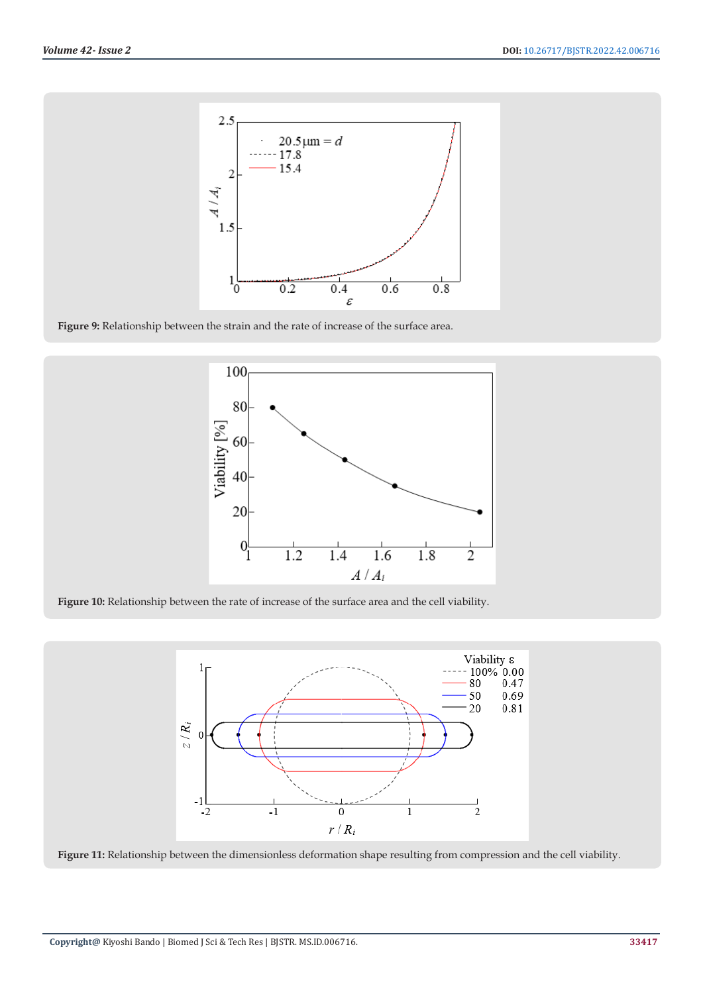

**Figure 9:** Relationship between the strain and the rate of increase of the surface area.



**Figure 10:** Relationship between the rate of increase of the surface area and the cell viability.



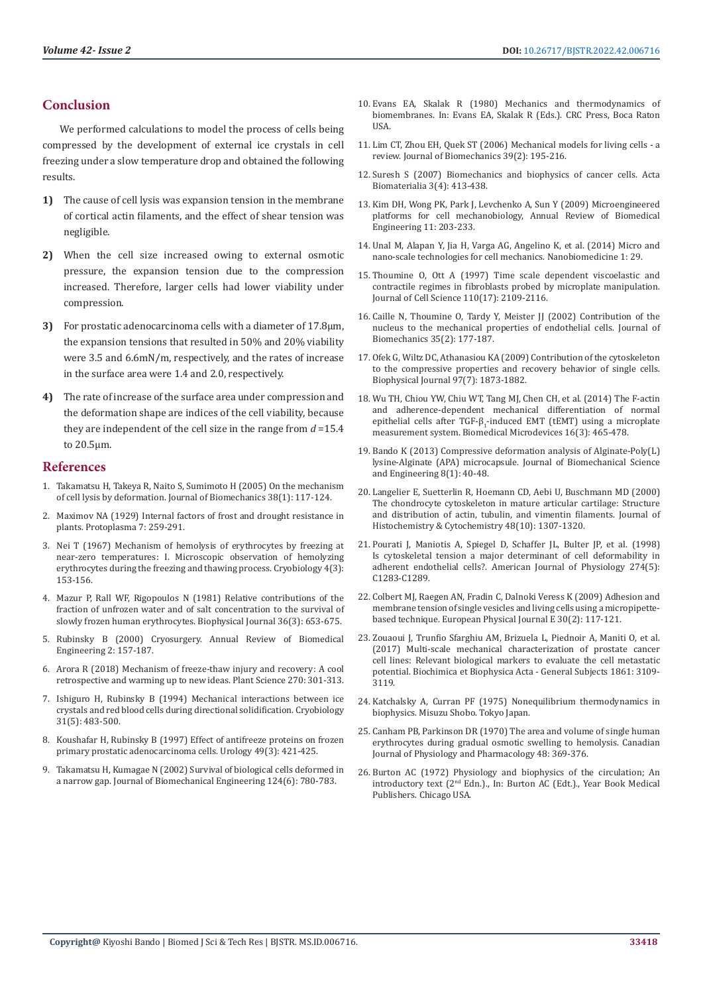### **Conclusion**

We performed calculations to model the process of cells being compressed by the development of external ice crystals in cell freezing under a slow temperature drop and obtained the following results.

- **1)** The cause of cell lysis was expansion tension in the membrane of cortical actin filaments, and the effect of shear tension was negligible.
- **2)** When the cell size increased owing to external osmotic pressure, the expansion tension due to the compression increased. Therefore, larger cells had lower viability under compression.
- **3)** For prostatic adenocarcinoma cells with a diameter of 17.8µm, the expansion tensions that resulted in 50% and 20% viability were 3.5 and 6.6mN/m, respectively, and the rates of increase in the surface area were 1.4 and 2.0, respectively.
- **4)** The rate of increase of the surface area under compression and the deformation shape are indices of the cell viability, because they are independent of the cell size in the range from *d* =15.4 to 20.5µm.

#### **References**

- 1. [Takamatsu H, Takeya R, Naito S, Sumimoto H \(2005\) On the mechanism](https://kyushu-u.pure.elsevier.com/en/publications/on-the-mechanism-of-cell-lysis-by-deformation)  [of cell lysis by deformation. Journal of Biomechanics 38\(1\): 117-124.](https://kyushu-u.pure.elsevier.com/en/publications/on-the-mechanism-of-cell-lysis-by-deformation)
- 2. [Maximov NA \(1929\) Internal factors of frost and drought resistance in](https://www.semanticscholar.org/paper/Internal-factors-of-frost-and-drought-resistance-in-Maximov/f10615b39866a83259c998ddae1d47cf889eb03c)  [plants. Protoplasma 7: 259-291.](https://www.semanticscholar.org/paper/Internal-factors-of-frost-and-drought-resistance-in-Maximov/f10615b39866a83259c998ddae1d47cf889eb03c)
- 3. [Nei T \(1967\) Mechanism of hemolysis of erythrocytes by freezing at](https://pubmed.ncbi.nlm.nih.gov/5623568/)  [near-zero temperatures: I. Microscopic observation of hemolyzing](https://pubmed.ncbi.nlm.nih.gov/5623568/)  [erythrocytes during the freezing and thawing process. Cryobiology 4\(3\):](https://pubmed.ncbi.nlm.nih.gov/5623568/)  [153-156.](https://pubmed.ncbi.nlm.nih.gov/5623568/)
- 4. [Mazur P, Rall WF, Rigopoulos N \(1981\) Relative contributions of the](https://www.ncbi.nlm.nih.gov/pmc/articles/PMC1327651/)  [fraction of unfrozen water and of salt concentration to the survival of](https://www.ncbi.nlm.nih.gov/pmc/articles/PMC1327651/)  [slowly frozen human erythrocytes. Biophysical Journal 36\(3\): 653-675.](https://www.ncbi.nlm.nih.gov/pmc/articles/PMC1327651/)
- 5. [Rubinsky B \(2000\) Cryosurgery. Annual Review of Biomedical](https://www.annualreviews.org/doi/abs/10.1146/annurev.bioeng.2.1.157)  [Engineering 2: 157-187.](https://www.annualreviews.org/doi/abs/10.1146/annurev.bioeng.2.1.157)
- 6. [Arora R \(2018\) Mechanism of freeze-thaw injury and recovery: A cool](https://pubmed.ncbi.nlm.nih.gov/29576084/)  [retrospective and warming up to new ideas. Plant Science 270: 301-313.](https://pubmed.ncbi.nlm.nih.gov/29576084/)
- 7. [Ishiguro H, Rubinsky B \(1994\) Mechanical interactions between ice](https://pubmed.ncbi.nlm.nih.gov/7988158/)  [crystals and red blood cells during directional solidification. Cryobiology](https://pubmed.ncbi.nlm.nih.gov/7988158/)  [31\(5\): 483-500.](https://pubmed.ncbi.nlm.nih.gov/7988158/)
- 8. [Koushafar H, Rubinsky B \(1997\) Effect of antifreeze proteins on frozen](https://pubmed.ncbi.nlm.nih.gov/9123708/)  [primary prostatic adenocarcinoma cells. Urology 49\(3\): 421-425.](https://pubmed.ncbi.nlm.nih.gov/9123708/)
- 9. [Takamatsu H, Kumagae N \(2002\) Survival of biological cells deformed in](https://pubmed.ncbi.nlm.nih.gov/12596647/)  [a narrow gap. Journal of Biomechanical Engineering 124\(6\): 780-783.](https://pubmed.ncbi.nlm.nih.gov/12596647/)
- 10. [Evans EA, Skalak R \(1980\) Mechanics and thermodynamics of](https://www.taylorfrancis.com/books/edit/10.1201/9781351074339/mechanics-thermodynamics-biomembranes-evan-evans-richard-skalak) [biomembranes. In: Evans EA, Skalak R \(Eds.\). CRC Press, Boca Raton](https://www.taylorfrancis.com/books/edit/10.1201/9781351074339/mechanics-thermodynamics-biomembranes-evan-evans-richard-skalak) **IISA**
- 11. [Lim CT, Zhou EH, Quek ST \(2006\) Mechanical models for living cells a](https://pubmed.ncbi.nlm.nih.gov/16321622/) [review. Journal of Biomechanics 39\(2\): 195-216.](https://pubmed.ncbi.nlm.nih.gov/16321622/)
- 12. [Suresh S \(2007\) Biomechanics and biophysics of cancer cells. Acta](https://pubmed.ncbi.nlm.nih.gov/17540628/) [Biomaterialia 3\(4\): 413-438.](https://pubmed.ncbi.nlm.nih.gov/17540628/)
- 13. [Kim DH, Wong PK, Park J, Levchenko A, Sun Y \(2009\) Microengineered](https://pubmed.ncbi.nlm.nih.gov/19400708/) [platforms for cell mechanobiology, Annual Review of Biomedical](https://pubmed.ncbi.nlm.nih.gov/19400708/) [Engineering 11: 203-233.](https://pubmed.ncbi.nlm.nih.gov/19400708/)
- 14. [Unal M, Alapan Y, Jia H, Varga AG, Angelino K, et al. \(2014\) Micro and](https://pubmed.ncbi.nlm.nih.gov/30023016/) [nano-scale technologies for cell mechanics. Nanobiomedicine 1: 29.](https://pubmed.ncbi.nlm.nih.gov/30023016/)
- 15. [Thoumine O, Ott A \(1997\) Time scale dependent viscoelastic and](https://pubmed.ncbi.nlm.nih.gov/9378761/) [contractile regimes in fibroblasts probed by microplate manipulation.](https://pubmed.ncbi.nlm.nih.gov/9378761/) [Journal of Cell Science 110\(17\): 2109-2116.](https://pubmed.ncbi.nlm.nih.gov/9378761/)
- 16. [Caille N, Thoumine O, Tardy Y, Meister JJ \(2002\) Contribution of the](https://pubmed.ncbi.nlm.nih.gov/11784536/) [nucleus to the mechanical properties of endothelial cells. Journal of](https://pubmed.ncbi.nlm.nih.gov/11784536/) [Biomechanics 35\(2\): 177-187.](https://pubmed.ncbi.nlm.nih.gov/11784536/)
- 17. [Ofek G, Wiltz DC, Athanasiou KA \(2009\) Contribution of the cytoskeleton](https://www.ncbi.nlm.nih.gov/pmc/articles/PMC2756354/) [to the compressive properties and recovery behavior of single cells.](https://www.ncbi.nlm.nih.gov/pmc/articles/PMC2756354/) [Biophysical Journal 97\(7\): 1873-1882.](https://www.ncbi.nlm.nih.gov/pmc/articles/PMC2756354/)
- 18. [Wu TH, Chiou YW, Chiu WT, Tang MJ, Chen CH, et al. \(2014\) The F-actin](https://pubmed.ncbi.nlm.nih.gov/24627216/) [and adherence-dependent mechanical differentiation of normal](https://pubmed.ncbi.nlm.nih.gov/24627216/) epithelial cells after TGF- $\beta_1$ [-induced EMT \(tEMT\) using a microplate](https://pubmed.ncbi.nlm.nih.gov/24627216/) [measurement system. Biomedical Microdevices 16\(3\): 465-478.](https://pubmed.ncbi.nlm.nih.gov/24627216/)
- 19. [Bando K \(2013\) Compressive deformation analysis of Alginate-Poly\(L\)](https://www.researchgate.net/publication/269919906_Compressive_Deformation_Analysis_of_Alginate-PolyLlysine-Alginate_APA_Microcapsule) [lysine-Alginate \(APA\) microcapsule. Journal of Biomechanical Science](https://www.researchgate.net/publication/269919906_Compressive_Deformation_Analysis_of_Alginate-PolyLlysine-Alginate_APA_Microcapsule) [and Engineering 8\(1\): 40-48.](https://www.researchgate.net/publication/269919906_Compressive_Deformation_Analysis_of_Alginate-PolyLlysine-Alginate_APA_Microcapsule)
- 20. [Langelier E, Suetterlin R, Hoemann CD, Aebi U, Buschmann MD \(2000\)](https://pubmed.ncbi.nlm.nih.gov/10990485/) [The chondrocyte cytoskeleton in mature articular cartilage: Structure](https://pubmed.ncbi.nlm.nih.gov/10990485/) [and distribution of actin, tubulin, and vimentin filaments. Journal of](https://pubmed.ncbi.nlm.nih.gov/10990485/) [Histochemistry & Cytochemistry 48\(10\): 1307-1320.](https://pubmed.ncbi.nlm.nih.gov/10990485/)
- 21. [Pourati J, Maniotis A, Spiegel D, Schaffer JL, Bulter JP, et al. \(1998\)](https://pubmed.ncbi.nlm.nih.gov/9612215/) [Is cytoskeletal tension a major determinant of cell deformability in](https://pubmed.ncbi.nlm.nih.gov/9612215/) [adherent endothelial cells?. American Journal of Physiology 274\(5\):](https://pubmed.ncbi.nlm.nih.gov/9612215/) [C1283-C1289.](https://pubmed.ncbi.nlm.nih.gov/9612215/)
- 22. [Colbert MJ, Raegen AN, Fradin C, Dalnoki Veress K \(2009\) Adhesion and](https://scholar.google.ca/citations?view_op=view_citation&hl=en&user=hoE4UAEAAAAJ&citation_for_view=hoE4UAEAAAAJ:4TOpqqG69KYC) [membrane tension of single vesicles and living cells using a micropipette](https://scholar.google.ca/citations?view_op=view_citation&hl=en&user=hoE4UAEAAAAJ&citation_for_view=hoE4UAEAAAAJ:4TOpqqG69KYC)[based technique. European Physical Journal E 30\(2\): 117-121.](https://scholar.google.ca/citations?view_op=view_citation&hl=en&user=hoE4UAEAAAAJ&citation_for_view=hoE4UAEAAAAJ:4TOpqqG69KYC)
- 23. [Zouaoui J, Trunfio Sfarghiu AM, Brizuela L, Piednoir A, Maniti O, et al.](https://ur.booksc.eu/book/66916757/070c53) [\(2017\) Multi-scale mechanical characterization of prostate cancer](https://ur.booksc.eu/book/66916757/070c53) [cell lines: Relevant biological markers to evaluate the cell metastatic](https://ur.booksc.eu/book/66916757/070c53) [potential. Biochimica et Biophysica Acta - General Subjects 1861: 3109-](https://ur.booksc.eu/book/66916757/070c53) [3119.](https://ur.booksc.eu/book/66916757/070c53)
- 24. Katchalsky A, Curran PF (1975) Nonequilibrium thermodynamics in biophysics. Misuzu Shobo. Tokyo Japan.
- 25. [Canham PB, Parkinson DR \(1970\) The area and volume of single human](https://cdnsciencepub.com/doi/10.1139/y70-059) [erythrocytes during gradual osmotic swelling to hemolysis. Canadian](https://cdnsciencepub.com/doi/10.1139/y70-059) [Journal of Physiology and Pharmacology 48: 369-376.](https://cdnsciencepub.com/doi/10.1139/y70-059)
- 26. [Burton AC \(1972\) Physiology and biophysics of the circulation; An](https://www.worldcat.org/title/physiology-and-biophysics-of-the-circulation-an-introductory-text/oclc/538762) [introductory text \(2nd Edn.\)., In: Burton AC \(Edt.\)., Year Book Medical](https://www.worldcat.org/title/physiology-and-biophysics-of-the-circulation-an-introductory-text/oclc/538762) [Publishers. Chicago USA.](https://www.worldcat.org/title/physiology-and-biophysics-of-the-circulation-an-introductory-text/oclc/538762)